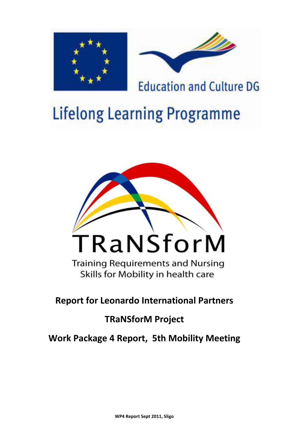



**Education and Culture DG** 

# **Lifelong Learning Programme**



**Training Requirements and Nursing** Skills for Mobility in health care

**Report for Leonardo International Partners** 

# **TRaNSforM Project**

**Work Package 4 Report, 5th Mobility Meeting**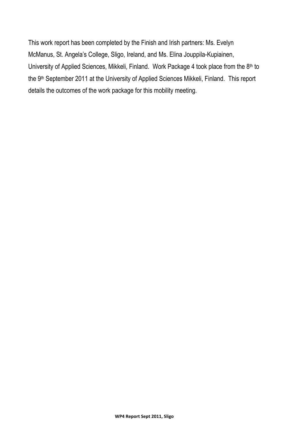This work report has been completed by the Finish and Irish partners: Ms. Evelyn McManus, St. Angela's College, Sligo, Ireland, and Ms. Elina Jouppila-Kupiainen, University of Applied Sciences, Mikkeli, Finland. Work Package 4 took place from the 8<sup>th</sup> to the 9th September 2011 at the University of Applied Sciences Mikkeli, Finland. This report details the outcomes of the work package for this mobility meeting.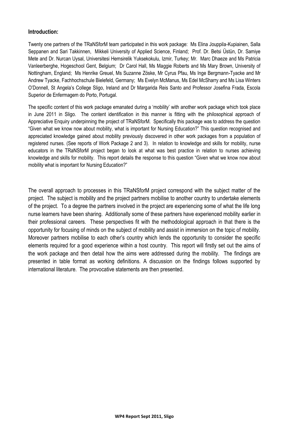# **Introduction:**

Twenty one partners of the TRaNSforM team participated in this work package: Ms Elina Jouppila-Kupiainen, Salla Seppanen and Sari Takkinnen, Mikkeli University of Applied Science, Finland; Prof. Dr. Betsi Üstün, Dr. Samiye Mete and Dr. Nurcan Uysal, Universitesi Hemsirelik Yuksekokulu, Izmir, Turkey; Mr. Marc Dhaeze and Ms Patricia Vanleerberghe, Hogeschool Gent, Belgium; Dr Carol Hall, Ms Maggie Roberts and Ms Mary Brown, University of Nottingham, England; Ms Henrike Greuel, Ms Suzanne Zöske, Mr Cyrus Pfau, Ms Inge Bergmann-Tyacke and Mr Andrew Tyacke, Fachhochschule Bielefeld, Germany; Ms Evelyn McManus, Ms Edel McSharry and Ms Lisa Winters O'Donnell, St Angela's College Sligo, Ireland and Dr Margarida Reis Santo and Professor Josefina Frada, Escola Superior de Enfermagem do Porto, Portugal.

The specific content of this work package emanated during a 'mobility' with another work package which took place in June 2011 in Sligo. The content identification in this manner is fitting with the philosophical approach of Appreciative Enquiry underpinning the project of TRaNSforM. Specifically this package was to address the question "Given what we know now about mobility, what is important for Nursing Education?" This question recognised and appreciated knowledge gained about mobility previously discovered in other work packages from a population of registered nurses. (See reports of Work Package 2 and 3). In relation to knowledge and skills for mobility, nurse educators in the TRaNSforM project began to look at what was best practice in relation to nurses achieving knowledge and skills for mobility. This report details the response to this question "Given what we know now about mobility what is important for Nursing Education?"

The overall approach to processes in this TRaNSforM project correspond with the subject matter of the project. The subject is mobility and the project partners mobilise to another country to undertake elements of the project. To a degree the partners involved in the project are experiencing some of what the life long nurse learners have been sharing. Additionally some of these partners have experienced mobility earlier in their professional careers. These perspectives fit with the methodological approach in that there is the opportunity for focusing of minds on the subject of mobility and assist in immersion on the topic of mobility. Moreover partners mobilise to each other's country which lends the opportunity to consider the specific elements required for a good experience within a host country. This report will firstly set out the aims of the work package and then detail how the aims were addressed during the mobility. The findings are presented in table format as working definitions. A discussion on the findings follows supported by international literature. The provocative statements are then presented.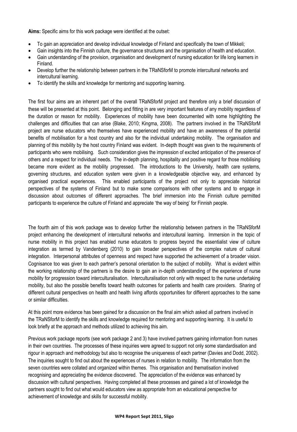**Aims:** Specific aims for this work package were identified at the outset:

- To gain an appreciation and develop individual knowledge of Finland and specifically the town of Mikkeli;
- Gain insights into the Finnish culture, the governance structures and the organisation of health and education.
- Gain understanding of the provision, organisation and development of nursing education for life long learners in Finland.
- Develop further the relationship between partners in the TRaNSforM to promote intercultural networks and intercultural learning.
- To identify the skills and knowledge for mentoring and supporting learning.

The first four aims are an inherent part of the overall TRaNSforM project and therefore only a brief discussion of these will be presented at this point. Belonging and fitting in are very important features of any mobility regardless of the duration or reason for mobility. Experiences of mobility have been documented with some highlighting the challenges and difficulties that can arise (Blake, 2010; Kingma, 2008). The partners involved in the TRaNSforM project are nurse educators who themselves have experienced mobility and have an awareness of the potential benefits of mobilisation for a host country and also for the individual undertaking mobility. The organisation and planning of this mobility by the host country Finland was evident. In-depth thought was given to the requirements of participants who were mobilising. Such consideration gives the impression of excited anticipation of the presence of others and a respect for individual needs. The in-depth planning, hospitality and positive regard for those mobilising became more evident as the mobility progressed. The introductions to the University, health care systems, governing structures, and education system were given in a knowledgeable objective way, and enhanced by organised practical experiences. This enabled participants of the project not only to appreciate historical perspectives of the systems of Finland but to make some comparisons with other systems and to engage in discussion about outcomes of different approaches. The brief immersion into the Finnish culture permitted participants to experience the culture of Finland and appreciate 'the way of being' for Finnish people.

The fourth aim of this work package was to develop further the relationship between partners in the TRaNSforM project enhancing the development of intercultural networks and intercultural learning. Immersion in the topic of nurse mobility in this project has enabled nurse educators to progress beyond the essentialist view of culture integration as termed by Vandenberg (2010) to gain broader perspectives of the complex nature of cultural integration. Interpersonal attributes of openness and respect have supported the achievement of a broader vision. Cognisance too was given to each partner's personal orientation to the subject of mobility. What is evident within the working relationship of the partners is the desire to gain an in-depth understanding of the experience of nurse mobility for progression toward interculturalisation. Interculturalisation not only with respect to the nurse undertaking mobility, but also the possible benefits toward health outcomes for patients and health care providers. Sharing of different cultural perspectives on health and health living affords opportunities for different approaches to the same or similar difficulties.

At this point more evidence has been gained for a discussion on the final aim which asked all partners involved in the TRaNSforM to identify the skills and knowledge required for mentoring and supporting learning. It is useful to look briefly at the approach and methods utilized to achieving this aim.

Previous work package reports (see work package 2 and 3) have involved partners gaining information from nurses in their own countries. The processes of these inquiries were agreed to support not only some standardisation and rigour in approach and methodology but also to recognise the uniqueness of each partner (Davies and Dodd, 2002). The inquiries sought to find out about the experiences of nurses in relation to mobility. The information from the seven countries were collated and organized within themes. This organisation and thematisation involved recognising and appreciating the evidence discovered. The appreciation of the evidence was enhanced by discussion with cultural perspectives. Having completed all these processes and gained a lot of knowledge the partners sought to find out what would educators view as appropriate from an educational perspective for achievement of knowledge and skills for successful mobility.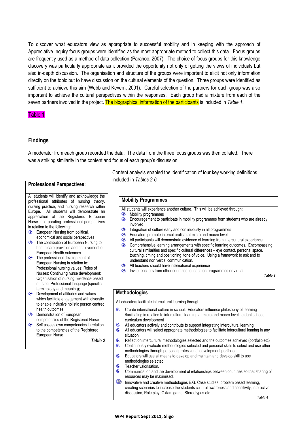To discover what educators view as appropriate to successful mobility and in keeping with the approach of Appreciative Inquiry focus groups were identified as the most appropriate method to collect this data. Focus groups are frequently used as a method of data collection (Parahoo, 2007). The choice of focus groups for this knowledge discovery was particularly appropriate as it provided the opportunity not only of getting the views of individuals but also in-depth discussion. The organisation and structure of the groups were important to elicit not only information directly on the topic but to have discussion on the cultural elements of the question. Three groups were identified as sufficient to achieve this aim (Webb and Kevern, 2001). Careful selection of the partners for each group was also important to achieve the cultural perspectives within the responses. Each group had a mixture from each of the seven partners involved in the project. The biographical information of the participants is included in *Table 1*.

#### Table 1

#### **Findings**

A moderator from each group recorded the data. The data from the three focus groups was then collated. There was a striking similarity in the content and focus of each group's discussion.

#### **Professional Perspectives:**

All students will identify and acknowledge the professional attributes of nursing theory, nursing practice, and nursing research within Europe. All students will demonstrate an appreciation of the Registered European Nurse incorporating professional perspectives in relation to the following:

- **European Nursing from political,** economical and social perspectives
- **C** The contribution of European Nursing to health care provision and achievement of European Health outcomes.
- **<sup>®</sup>** The professional development of European Nursing in relation to: Professional nursing values; Roles of Nurses; Continuing nurse development; Organisation of nursing; Evidence based nursing; Professional language (specific terminology and meaning);
- **E** Development of attitudes and values which facilitate engagement with diversity to enable inclusive holistic person centred health outcomes
- <sup>®</sup> Demonstration of European competencies of the Registered Nurse
- Self assess own competencies in relation to the competencies of the Registered European Nurse

*Table 2*

Content analysis enabled the identification of four key working definitions included in *Tables 2-6.*

#### **Mobility Programmes**

- All students will experience another culture. This will be achieved through:
- <sup>®</sup> Mobility programmes
- **Encouragement to participate in mobility programmes from students who are already** involved
- **EXECUTE:** Integration of culture early and continuously in all programmes
- **Educators promote interculturalism at micro and macro level**
- <sup>4</sup> All participants will demonstrate evidence of learning from intercultural experience
- **Comprehensive learning arrangements with specific learning outcomes. Encompassing** cultural similarities and specific cultural differences – eye contact, personal space, touching, timing and positioning tone of voice. Using a framework to ask and to understand non verbal communication.
- **All teachers should have international experience**
- **EXECUTE:** Invite teachers from other countries to teach on programmes or virtual

*Table 3*

#### **Methodologies**

All educators facilitate intercultural learning through:

- $\circledcirc$ Create international culture in school. Educators influence philosophy of learning /facilitating in relation to intercultural learning at micro and macro level i.e dept school, curriculum development
- All educators actively and contribute to support integrating intercultural learning
- <sup>®</sup> All educators will select appropriate methodologies to facilitate intercultural leaning in any situation
- $\bullet$ Reflect on intercultural methodologies selected and the outcomes achieved (portfolio etc)  $\bullet$ Continuously evaluate methodologies selected and personal skills to select and use other methodologies through personal professional development portfolio
- **EDUCATORS WILL USE ALL MEANS TO A LIM** means to develop and maintain and develop skill to use methodologies selected
- Θ. Teacher valorisation.
- $\bullet$ Communication and the development of relationships between countries so that sharing of resources may be maximised.
- ⊚. Innovative and creative methodologies E.G. Case studies, problem based learning, creating scenarios to increase the students cultural awareness and sensitivity; interactive discussion, Role play; Oxfam game Stereotypes etc.

 *Table 4*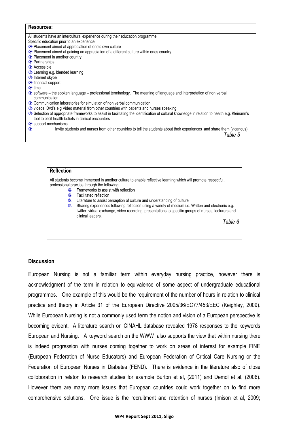| Resources:                                                                                                                                                                                                |
|-----------------------------------------------------------------------------------------------------------------------------------------------------------------------------------------------------------|
| All students have an intercultural experience during their education programme                                                                                                                            |
| Specific education prior to an experience                                                                                                                                                                 |
| • Placement aimed at appreciation of one's own culture                                                                                                                                                    |
| <sup>3</sup> Placement aimed at gaining an appreciation of a different culture within ones country.                                                                                                       |
| • Placement in another country                                                                                                                                                                            |
| <sup>©</sup> Partnerships                                                                                                                                                                                 |
| <b>Accessible</b>                                                                                                                                                                                         |
| <b>E</b> Learning e.g. blended learning                                                                                                                                                                   |
| <b>C</b> Internet skype                                                                                                                                                                                   |
| <b>C</b> financial support                                                                                                                                                                                |
| $\bullet$ time                                                                                                                                                                                            |
| Software – the spoken language – professional terminology. The meaning of language and interpretation of non verbal<br>communication.                                                                     |
| Communication laboratories for simulation of non verbal communication                                                                                                                                     |
| videos, Dvd's e.g Video material from other countries with patients and nurses speaking                                                                                                                   |
| Selection of appropriate frameworks to assist in facilitating the identification of cultural knowledge in relation to health e.g. Kleinann's<br>C<br>tool to elicit health beliefs in clinical encounters |
| <b>e</b> support mechanisms                                                                                                                                                                               |
| c<br>Invite students and nurses from other countries to tell the students about their experiences and share them (vicarious)<br>Table 5                                                                   |

| <b>Reflection</b> |                                                                                                                                                                                                                                                                                                                                                                                                                                                                                                                                                       |
|-------------------|-------------------------------------------------------------------------------------------------------------------------------------------------------------------------------------------------------------------------------------------------------------------------------------------------------------------------------------------------------------------------------------------------------------------------------------------------------------------------------------------------------------------------------------------------------|
| o<br>o<br>Q<br>◉  | All students become immersed in another culture to enable reflective learning which will promote respectful,<br>professional practice through the following:<br>Frameworks to assist with reflection<br><b>Facilitated reflection</b><br>Literature to assist perception of culture and understanding of culture<br>Sharing experiences following reflection using a variety of medium i.e. Written and electronic e.g.<br>twitter, virtual exchange, video recording, presentations to specific groups of nurses, lecturers and<br>clinical leaders. |
|                   | Table 6                                                                                                                                                                                                                                                                                                                                                                                                                                                                                                                                               |

### **Discussion**

European Nursing is not a familiar term within everyday nursing practice, however there is acknowledgment of the term in relation to equivalence of some aspect of undergraduate educational programmes. One example of this would be the requirement of the number of hours in relation to clinical practice and theory in Article 31 of the European Directive 2005/36/EC77/453/EEC (Keighley, 2009). While European Nursing is not a commonly used term the notion and vision of a European perspective is becoming evident. A literature search on CINAHL database revealed 1978 responses to the keywords European and Nursing. A keyword search on the WWW also supports the view that within nursing there is indeed progression with nurses coming together to work on areas of interest for example FINE (European Federation of Nurse Educators) and European Federation of Critical Care Nursing or the [Federation of European Nurses in Diabetes \(FEND\).](http://web.ebscohost.com.libgate.library.nuigalway.ie/ehost/viewarticle?data=dGJyMPPp44rp2%2fdV0%2bnjisfk5Ie46bRJtaixS66k63nn5Kx75%2bS%2bSbClt0ewpq9JnqewUq6puEuuls5lpOrweezp33vy3%2b2G59q7Sa6rrku3p7VKtpzqeezdu33snOJ6u%2bj4gKTq33%2b7t8w%2b3%2bS7Sq6nrkmyqbVRrpzkh%2fDj34y73POE6urjkPIA&hid=108) There is evidence in the literature also of close colloboration in relaton to research studies for example Burton et al, (2011) and Demol et al, (2006). However there are many more issues that European countries could work together on to find more comprehensive solutions. One issue is the recruitment and retention of nurses (Imison et al, 2009;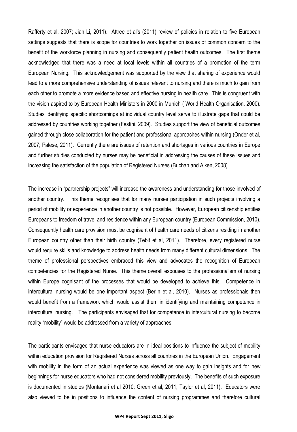Rafferty et al, 2007; Jian Li, 2011). Attree et al's (2011) review of policies in relation to five European settings suggests that there is scope for countries to work together on issues of common concern to the benefit of the workforce planning in nursing and consequently patient health outcomes. The first theme acknowledged that there was a need at local levels within all countries of a promotion of the term European Nursing. This acknowledgement was supported by the view that sharing of experience would lead to a more comprehensive understanding of issues relevant to nursing and there is much to gain from each other to promote a more evidence based and effective nursing in health care. This is congruent with the vision aspired to by European Health Ministers in 2000 in Munich ( World Health Organisation, 2000). Studies identifying specific shortcomings at individual country level serve to illustrate gaps that could be addressed by countries working together (Festini, 2009). Studies support the view of beneficial outcomes gained through close collaboration for the patient and professional approaches within nursing (Onder et al, 2007; Palese, 2011). Currently there are issues of retention and shortages in various countries in Europe and further studies conducted by nurses may be beneficial in addressing the causes of these issues and increasing the satisfaction of the population of Registered Nurses (Buchan and Aiken, 2008).

The increase in "partnership projects" will increase the awareness and understanding for those involved of another country. This theme recognises that for many nurses participation in such projects involving a period of mobility or experience in another country is not possible. However, European citizenship entitles Europeans to freedom of travel and residence within any European country (European Commission, 2010). Consequently health care provision must be cognisant of health care needs of citizens residing in another European country other than their birth country (Tebit et al, 2011). Therefore, every registered nurse would require skills and knowledge to address health needs from many different cultural dimensions. The theme of professional perspectives embraced this view and advocates the recognition of European competencies for the Registered Nurse. This theme overall espouses to the professionalism of nursing within Europe cognisant of the processes that would be developed to achieve this. Competence in intercultural nursing would be one important aspect (Berlin et al, 2010). Nurses as professionals then would benefit from a framework which would assist them in identifying and maintaining competence in intercultural nursing. The participants envisaged that for competence in intercultural nursing to become reality "mobility" would be addressed from a variety of approaches.

The participants envisaged that nurse educators are in ideal positions to influence the subject of mobility within education provision for Registered Nurses across all countries in the European Union. Engagement with mobility in the form of an actual experience was viewed as one way to gain insights and for new beginnings for nurse educators who had not considered mobility previously. The benefits of such exposure is documented in studies (Montanari et al 2010; Green et al, 2011; Taylor et al, 2011). Educators were also viewed to be in positions to influence the content of nursing programmes and therefore cultural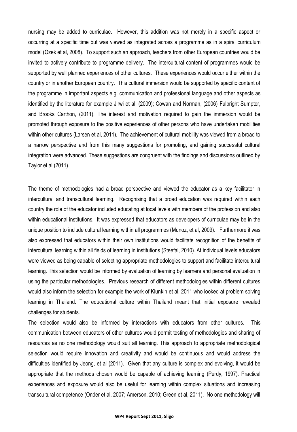nursing may be added to curriculae. However, this addition was not merely in a specific aspect or occurring at a specific time but was viewed as integrated across a programme as in a spiral curriculum model (Ozek et al, 2008). To support such an approach, teachers from other European countries would be invited to actively contribute to programme delivery. The intercultural content of programmes would be supported by well planned experiences of other cultures. These experiences would occur either within the country or in another European country. This cultural immersion would be supported by specific content of the programme in important aspects e.g. communication and professional language and other aspects as identified by the literature for example Jirwi et al, (2009); Cowan and Norman, (2006) Fulbright Sumpter, and Brooks Carthon, (2011). The interest and motivation required to gain the immersion would be promoted through exposure to the positive experiences of other persons who have undertaken mobilities within other cultures (Larsen et al, 2011). The achievement of cultural mobility was viewed from a broad to a narrow perspective and from this many suggestions for promoting, and gaining successful cultural integration were advanced. These suggestions are congruent with the findings and discussions outlined by Taylor et al (2011).

The theme of methodologies had a broad perspective and viewed the educator as a key facilitator in intercultural and transcultural learning. Recognising that a broad education was required within each country the role of the educator included educating at local levels with members of the profession and also within educational institutions. It was expressed that educators as developers of curriculae may be in the unique position to include cultural learning within all programmes (Munoz, et al, 2009). Furthermore it was also expressed that educators within their own institutions would facilitate recognition of the benefits of intercultural learning within all fields of learning in institutions (Steefal, 2010). At individual levels educators were viewed as being capable of selecting appropriate methodologies to support and facilitate intercultural learning. This selection would be informed by evaluation of learning by learners and personal evaluation in using the particular methodologies. Previous research of different methodologies within different cultures would also inform the selection for example the work of Klunkin et al, 2011 who looked at problem solving learning in Thailand. The educational culture within Thailand meant that initial exposure revealed challenges for students.

The selection would also be informed by interactions with educators from other cultures. This communication between educators of other cultures would permit testing of methodologies and sharing of resources as no one methodology would suit all learning. This approach to appropriate methodological selection would require innovation and creativity and would be continuous and would address the difficulties identified by Jeong, et al (2011). Given that any culture is complex and evolving, it would be appropriate that the methods chosen would be capable of achieving learning (Purdy, 1997). Practical experiences and exposure would also be useful for learning within complex situations and increasing transcultural competence (Onder et al, 2007; Amerson, 2010; Green et al, 2011). No one methodology will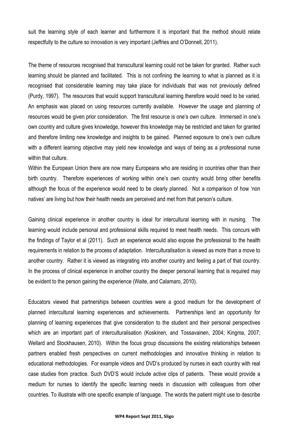suit the learning style of each learner and furthermore it is important that the method should relate respectfully to the culture so innovation is very important (Jeffries and O'Donnell, 2011).

The theme of resources recognised that transcultural learning could not be taken for granted. Rather such learning should be planned and facilitated. This is not confining the learning to what is planned as it is recognised that considerable learning may take place for individuals that was not previously defined (Purdy, 1997). The resources that would support transcultural learning therefore would need to be varied. An emphasis was placed on using resources currently available. However the usage and planning of resources would be given prior consideration. The first resource is one's own culture. Immersed in one's own country and culture gives knowledge, however this knowledge may be restricted and taken for granted and therefore limiting new knowledge and insights to be gained. Planned exposure to one's own culture with a different learning objective may yield new knowledge and ways of being as a professional nurse within that culture.

Within the European Union there are now many Europeans who are residing in countries other than their birth country. Therefore experiences of working within one's own country would bring other benefits although the focus of the experience would need to be clearly planned. Not a comparison of how 'non natives' are living but how their health needs are perceived and met from that person's culture.

Gaining clinical experience in another country is ideal for intercultural learning with in nursing. The learning would include personal and professional skills required to meet health needs. This concurs with the findings of Taylor et al (2011). Such an experience would also expose the professional to the health requirements in relation to the process of adaptation. Interculturalisation is viewed as more than a move to another country. Rather it is viewed as integrating into another country and feeling a part of that country. In the process of clinical experience in another country the deeper personal learning that is required may be evident to the person gaining the experience (Waite, and Calamaro, 2010).

Educators viewed that partnerships between countries were a good medium for the development of planned intercultural learning experiences and achievements. Partnerships lend an opportunity for planning of learning experiences that give consideration to the student and their personal perspectives which are an important part of interculturalisation (Koskinen, and Tossavainen, 2004; Kingma, 2007; Wellard and Stockhausen, 2010). Within the focus group discussions the existing relationships between partners enabled fresh perspectives on current methodologies and innovative thinking in relation to educational methodologies. For example videos and DVD's produced by nurses in each country with real case studies from practice. Such DVD'S would include active clips of patients. These would provide a medium for nurses to identify the specific learning needs in discussion with colleagues from other countries. To illustrate with one specific example of language. The words the patient might use to describe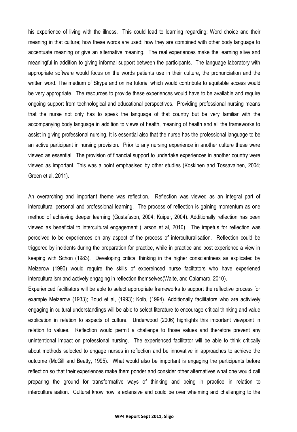his experience of living with the illness. This could lead to learning regarding: Word choice and their meaning in that culture; how these words are used; how they are combined with other body language to accentuate meaning or give an alternative meaning. The real experiences make the learning alive and meaningful in addition to giving informal support between the participants. The language laboratory with appropriate software would focus on the words patients use in their culture, the pronunciation and the written word. The medium of Skype and online tutorial which would contribute to equitable access would be very appropriate. The resources to provide these experiences would have to be available and require ongoing support from technological and educational perspectives. Providing professional nursing means that the nurse not only has to speak the language of that country but be very familiar with the accompanying body language in addition to views of health, meaning of health and all the frameworks to assist in giving professional nursing. It is essential also that the nurse has the professional language to be an active participant in nursing provision. Prior to any nursing experience in another culture these were viewed as essential. The provision of financial support to undertake experiences in another country were viewed as important. This was a point emphasised by other studies (Koskinen and Tossavainen, 2004; Green et al, 2011).

An overarching and important theme was reflection. Reflection was viewed as an integral part of intercultural personal and professional learning. The process of reflection is gaining momentum as one method of achieving deeper learning (Gustafsson, 2004; Kuiper, 2004). Additionally reflection has been viewed as beneficial to intercultural engagement (Larson et al, 2010). The impetus for reflection was perceived to be experiences on any aspect of the process of interculturalisation. Reflection could be triggered by incidents during the preparation for practice, while in practice and post experience a view in keeping with Schon (1983). Developing critical thinking in the higher conscientness as explicated by Meizerow (1990) would require the skills of expereinced nurse faciltators who have experiened interculturalism and actively engaging in reflection themselves(Waite, and Calamaro, 2010).

Experienced faciltiators will be able to select appropriate frameworks to support the reflective process for example Meizerow (1933); Boud et al, (1993); Kolb, (1994). Additionally facilitators who are activively engaging in cultural understandings will be able to select literature to encourage critical thinking and value explication in relation to aspects of culture. Underwood (2006) highlights this important viewpoint in relation to values. Reflection would permit a challenge to those values and therefore prevent any unintentional impact on professional nursing. The experienced facilitator will be able to think critically about methods selected to engage nurses in reflection and be innovative in approaches to achieve the outcome (McGill and Beatty, 1995). What would also be important is engaging the participants before reflection so that their experiences make them ponder and consider other alternatives what one would call preparing the ground for transformative ways of thinking and being in practice in relation to interculturalisation. Cultural know how is extensive and could be over whelming and challenging to the